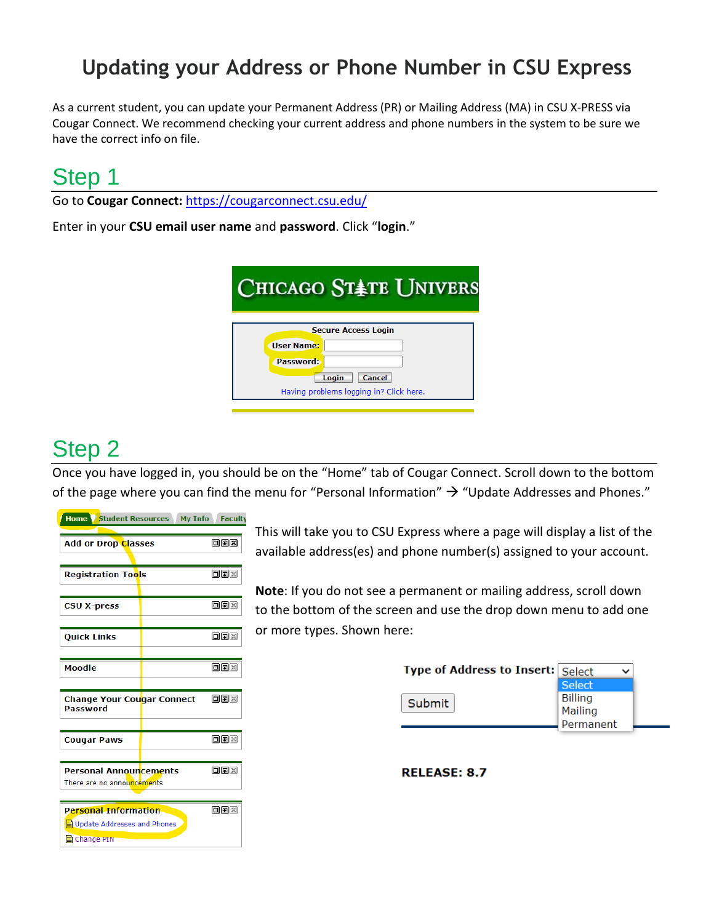#### **Updating your Address or Phone Number in CSU Express**

As a current student, you can update your Permanent Address (PR) or Mailing Address (MA) in CSU X-PRESS via Cougar Connect. We recommend checking your current address and phone numbers in the system to be sure we have the correct info on file.

### Step 1

Go to **Cougar Connect:** <https://cougarconnect.csu.edu/>

Enter in your **CSU email user name** and **password**. Click "**login**."

| <b>CHICAGO STATE UNIVERS</b>                                  |  |
|---------------------------------------------------------------|--|
| <b>Secure Access Login</b><br><b>Ilser Name:</b><br>Password: |  |
| Cancel<br>Login<br>Having problems logging in? Click here.    |  |

## Step 2

Once you have logged in, you should be on the "Home" tab of Cougar Connect. Scroll down to the bottom of the page where you can find the menu for "Personal Information"  $\rightarrow$  "Update Addresses and Phones."

| <b>Home Student Resources</b>                                                                               | <b>My Info</b> | <b>Faculty</b> |
|-------------------------------------------------------------------------------------------------------------|----------------|----------------|
| <b>Add or Drop Classes</b>                                                                                  |                | 回国国            |
| <b>Registration Tools</b>                                                                                   |                | <b>OFIX</b>    |
| <b>CSU X-press</b>                                                                                          |                | 回国図            |
| <b>Ouick Links</b>                                                                                          |                | <b>OFK</b>     |
| Moodle                                                                                                      |                | oox            |
| <b>Change Your Cougar Connect</b><br>Password                                                               |                | 回回図            |
| <b>Cougar Paws</b>                                                                                          |                | 回す図            |
| <b>Personal Announcements</b><br>There are no announcements                                                 |                | <b>OFIX</b>    |
| $\Box$ $\Box$ $\times$<br><b>Personal Information</b><br>Update Addresses and Phones<br><b>E</b> Change PIN |                |                |

This will take you to CSU Express where a page will display a list of the available address(es) and phone number(s) assigned to your account.

**Note**: If you do not see a permanent or mailing address, scroll down to the bottom of the screen and use the drop down menu to add one or more types. Shown here:

| <b>Type of Address to Insert: Select</b> |                |
|------------------------------------------|----------------|
|                                          | <b>Select</b>  |
| Submit                                   | <b>Billing</b> |
|                                          | Mailing        |
|                                          | Permanent      |
|                                          |                |

**RELEASE: 8.7**